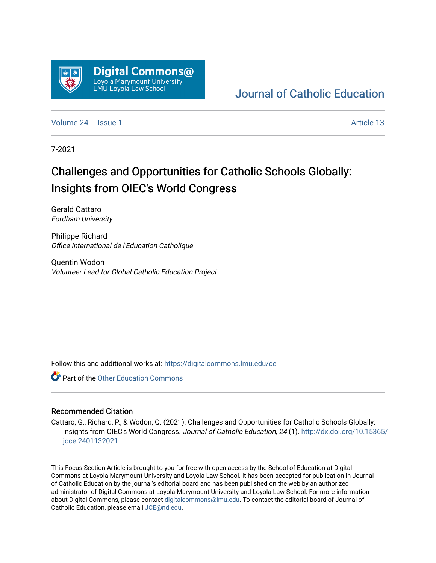

## [Journal of Catholic Education](https://digitalcommons.lmu.edu/ce)

[Volume 24](https://digitalcommons.lmu.edu/ce/vol24) | [Issue 1](https://digitalcommons.lmu.edu/ce/vol24/iss1) Article 13

7-2021

# Challenges and Opportunities for Catholic Schools Globally: Insights from OIEC's World Congress

Gerald Cattaro Fordham University

Philippe Richard Office International de l'Education Catholique

Quentin Wodon Volunteer Lead for Global Catholic Education Project

Follow this and additional works at: [https://digitalcommons.lmu.edu/ce](https://digitalcommons.lmu.edu/ce?utm_source=digitalcommons.lmu.edu%2Fce%2Fvol24%2Fiss1%2F13&utm_medium=PDF&utm_campaign=PDFCoverPages)

**C** Part of the Other Education Commons

### Recommended Citation

Cattaro, G., Richard, P., & Wodon, Q. (2021). Challenges and Opportunities for Catholic Schools Globally: Insights from OIEC's World Congress. Journal of Catholic Education, 24 (1). [http://dx.doi.org/10.15365/](http://dx.doi.org/10.15365/joce.2401132021) [joce.2401132021](http://dx.doi.org/10.15365/joce.2401132021) 

This Focus Section Article is brought to you for free with open access by the School of Education at Digital Commons at Loyola Marymount University and Loyola Law School. It has been accepted for publication in Journal of Catholic Education by the journal's editorial board and has been published on the web by an authorized administrator of Digital Commons at Loyola Marymount University and Loyola Law School. For more information about Digital Commons, please contact [digitalcommons@lmu.edu](mailto:digitalcommons@lmu.edu). To contact the editorial board of Journal of Catholic Education, please email [JCE@nd.edu.](mailto:JCE@nd.edu)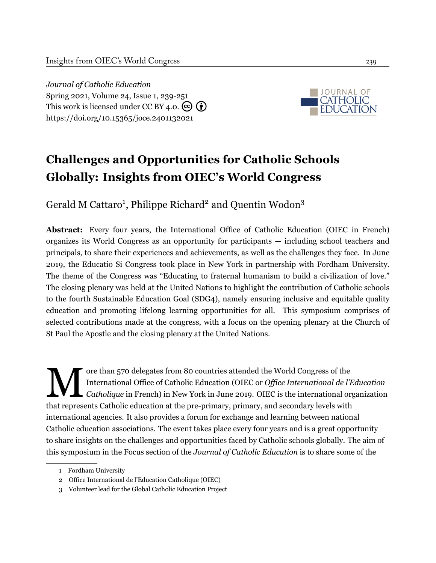*Journal of Catholic Education* Spring 2021, Volume 24, Issue 1, 239-[251](#page-13-0) This work is licensed under CC BY 4.0.  $\left(\begin{matrix} \mathbf{c} \\ \mathbf{c} \end{matrix}\right)$ <https://doi.org/10.15365/joce.2401132021>



# **Challenges and Opportunities for Catholic Schools Globally: Insights from OIEC's World Congress**

Gerald M Cattaro<sup>1</sup>, Philippe Richard<sup>2</sup> and Quentin Wodon<sup>3</sup>

**Abstract:** Every four years, the International Office of Catholic Education (OIEC in French) organizes its World Congress as an opportunity for participants — including school teachers and principals, to share their experiences and achievements, as well as the challenges they face. In June 2019, the Educatio Si Congress took place in New York in partnership with Fordham University. The theme of the Congress was "Educating to fraternal humanism to build a civilization of love." The closing plenary was held at the United Nations to highlight the contribution of Catholic schools to the fourth Sustainable Education Goal (SDG4), namely ensuring inclusive and equitable quality education and promoting lifelong learning opportunities for all. This symposium comprises of selected contributions made at the congress, with a focus on the opening plenary at the Church of St Paul the Apostle and the closing plenary at the United Nations.

M ore than 570 delegates from 80 countries attended the World Congress of the International Office of Catholic Education (OIEC or *Office International de l'Education Catholique* in French) in New York in June 2019. OIEC is the international organization that represents Catholic education at the pre-primary, primary, and secondary levels with international agencies. It also provides a forum for exchange and learning between national Catholic education associations. The event takes place every four years and is a great opportunity to share insights on the challenges and opportunities faced by Catholic schools globally. The aim of this symposium in the Focus section of the *Journal of Catholic Education* is to share some of the

<sup>1</sup> Fordham University

<sup>2</sup> Office International de l'Education Catholique (OIEC)

<sup>3</sup> Volunteer lead for the Global Catholic Education Project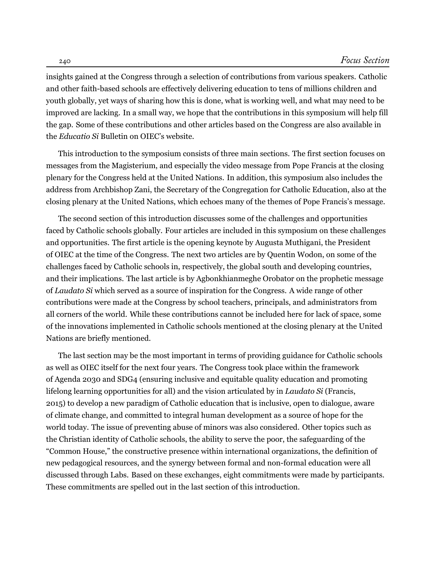insights gained at the Congress through a selection of contributions from various speakers. Catholic and other faith-based schools are effectively delivering education to tens of millions children and youth globally, yet ways of sharing how this is done, what is working well, and what may need to be improved are lacking. In a small way, we hope that the contributions in this symposium will help fill the gap. Some of these contributions and other articles based on the Congress are also available in the *Educatio Si* Bulletin on OIEC's website.

This introduction to the symposium consists of three main sections. The first section focuses on messages from the Magisterium, and especially the video message from Pope Francis at the closing plenary for the Congress held at the United Nations. In addition, this symposium also includes the address from Archbishop Zani, the Secretary of the Congregation for Catholic Education, also at the closing plenary at the United Nations, which echoes many of the themes of Pope Francis's message.

The second section of this introduction discusses some of the challenges and opportunities faced by Catholic schools globally. Four articles are included in this symposium on these challenges and opportunities. The first article is the opening keynote by Augusta Muthigani, the President of OIEC at the time of the Congress. The next two articles are by Quentin Wodon, on some of the challenges faced by Catholic schools in, respectively, the global south and developing countries, and their implications. The last article is by Agbonkhianmeghe Orobator on the prophetic message of *Laudato Si* which served as a source of inspiration for the Congress. A wide range of other contributions were made at the Congress by school teachers, principals, and administrators from all corners of the world. While these contributions cannot be included here for lack of space, some of the innovations implemented in Catholic schools mentioned at the closing plenary at the United Nations are briefly mentioned.

The last section may be the most important in terms of providing guidance for Catholic schools as well as OIEC itself for the next four years. The Congress took place within the framework of Agenda 2030 and SDG4 (ensuring inclusive and equitable quality education and promoting lifelong learning opportunities for all) and the vision articulated by in *Laudato Si* ([Francis](#page-13-1), [2015](#page-13-1)) to develop a new paradigm of Catholic education that is inclusive, open to dialogue, aware of climate change, and committed to integral human development as a source of hope for the world today. The issue of preventing abuse of minors was also considered. Other topics such as the Christian identity of Catholic schools, the ability to serve the poor, the safeguarding of the "Common House," the constructive presence within international organizations, the definition of new pedagogical resources, and the synergy between formal and non-formal education were all discussed through Labs. Based on these exchanges, eight commitments were made by participants. These commitments are spelled out in the last section of this introduction.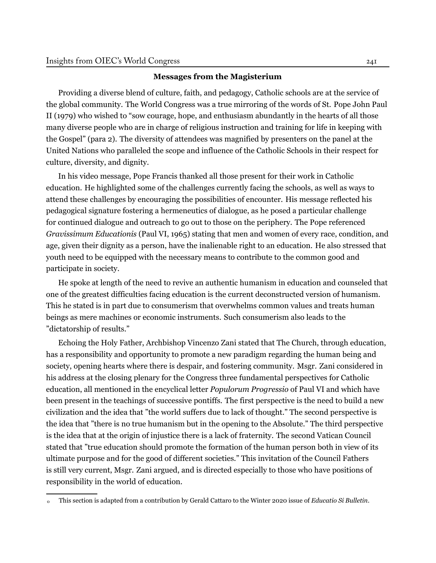#### **Messages from the Magisterium**

Providing a diverse blend of culture, faith, and pedagogy, Catholic schools are at the service of the global community. The World Congress was a true mirroring of the words of St. Pope John Paul II (1979) who wished to "sow courage, hope, and enthusiasm abundantly in the hearts of all those many diverse people who are in charge of religious instruction and training for life in keeping with the Gospel" (para 2). The diversity of attendees was magnified by presenters on the panel at the United Nations who paralleled the scope and influence of the Catholic Schools in their respect for culture, diversity, and dignity.

In his video message, Pope Francis thanked all those present for their work in Catholic education. He highlighted some of the challenges currently facing the schools, as well as ways to attend these challenges by encouraging the possibilities of encounter. His message reflected his pedagogical signature fostering a hermeneutics of dialogue, as he posed a particular challenge for continued dialogue and outreach to go out to those on the periphery. The Pope referenced *Gravissimum Educationis* (Paul VI, 1965) stating that men and women of every race, condition, and age, given their dignity as a person, have the inalienable right to an education. He also stressed that youth need to be equipped with the necessary means to contribute to the common good and participate in society.

He spoke at length of the need to revive an authentic humanism in education and counseled that one of the greatest difficulties facing education is the current deconstructed version of humanism. This he stated is in part due to consumerism that overwhelms common values and treats human beings as mere machines or economic instruments. Such consumerism also leads to the "dictatorship of results."

Echoing the Holy Father, Archbishop Vincenzo Zani stated that The Church, through education, has a responsibility and opportunity to promote a new paradigm regarding the human being and society, opening hearts where there is despair, and fostering community. Msgr. Zani considered in his address at the closing plenary for the Congress three fundamental perspectives for Catholic education, all mentioned in the encyclical letter *Populorum Progressio* of Paul VI and which have been present in the teachings of successive pontiffs. The first perspective is the need to build a new civilization and the idea that "the world suffers due to lack of thought." The second perspective is the idea that "there is no true humanism but in the opening to the Absolute." The third perspective is the idea that at the origin of injustice there is a lack of fraternity. The second Vatican Council stated that "true education should promote the formation of the human person both in view of its ultimate purpose and for the good of different societies." This invitation of the Council Fathers is still very current, Msgr. Zani argued, and is directed especially to those who have positions of responsibility in the world of education.

<sup>0</sup> This section is adapted from a contribution by Gerald Cattaro to the Winter 2020 issue of *Educatio Si Bulletin*.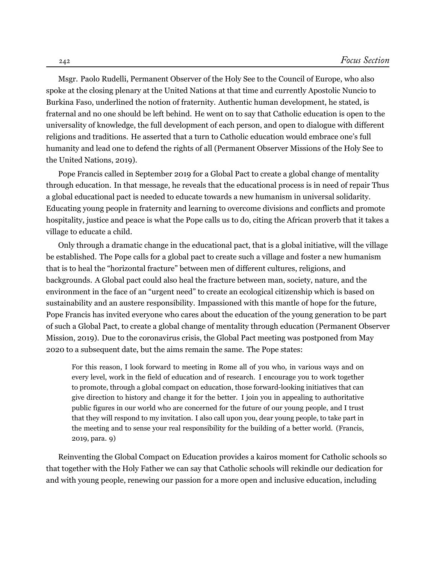Msgr. Paolo Rudelli, Permanent Observer of the Holy See to the Council of Europe, who also spoke at the closing plenary at the United Nations at that time and currently Apostolic Nuncio to Burkina Faso, underlined the notion of fraternity. Authentic human development, he stated, is fraternal and no one should be left behind. He went on to say that Catholic education is open to the universality of knowledge, the full development of each person, and open to dialogue with different religions and traditions. He asserted that a turn to Catholic education would embrace one's full humanity and lead one to defend the rights of all ([Permanent](#page-13-2) Observer Missions of the Holy See to the United [Nations,](#page-13-2) [2019\)](#page-13-2).

Pope Francis called in September 2019 for a Global Pact to create a global change of mentality through education. In that message, he reveals that the educational process is in need of repair Thus a global educational pact is needed to educate towards a new humanism in universal solidarity. Educating young people in fraternity and learning to overcome divisions and conflicts and promote hospitality, justice and peace is what the Pope calls us to do, citing the African proverb that it takes a village to educate a child.

Only through a dramatic change in the educational pact, that is a global initiative, will the village be established. The Pope calls for a global pact to create such a village and foster a new humanism that is to heal the "horizontal fracture" between men of different cultures, religions, and backgrounds. A Global pact could also heal the fracture between man, society, nature, and the environment in the face of an "urgent need" to create an ecological citizenship which is based on sustainability and an austere responsibility. Impassioned with this mantle of hope for the future, Pope Francis has invited everyone who cares about the education of the young generation to be part of such a Global Pact, to create a global change of mentality through education (Permanent Observer Mission, 2019). Due to the coronavirus crisis, the Global Pact meeting was postponed from May 2020 to a subsequent date, but the aims remain the same. The Pope states:

For this reason, I look forward to meeting in Rome all of you who, in various ways and on every level, work in the field of education and of research. I encourage you to work together to promote, through a global compact on education, those forward-looking initiatives that can give direction to history and change it for the better. I join you in appealing to authoritative public figures in our world who are concerned for the future of our young people, and I trust that they will respond to my invitation. I also call upon you, dear young people, to take part in the meeting and to sense your real responsibility for the building of a better world. ([Francis,](#page-13-3) 2019, para. 9)

Reinventing the Global Compact on Education provides a kairos moment for Catholic schools so that together with the Holy Father we can say that Catholic schools will rekindle our dedication for and with young people, renewing our passion for a more open and inclusive education, including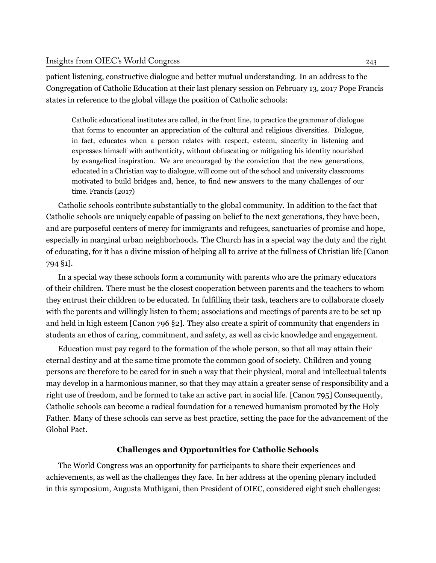patient listening, constructive dialogue and better mutual understanding. In an address to the Congregation of Catholic Education at their last plenary session on February 13, 2017 Pope Francis states in reference to the global village the position of Catholic schools:

Catholic educational institutes are called, in the front line, to practice the grammar of dialogue that forms to encounter an appreciation of the cultural and religious diversities. Dialogue, in fact, educates when a person relates with respect, esteem, sincerity in listening and expresses himself with authenticity, without obfuscating or mitigating his identity nourished by evangelical inspiration. We are encouraged by the conviction that the new generations, educated in a Christian way to dialogue, will come out of the school and university classrooms motivated to build bridges and, hence, to find new answers to the many challenges of our time. [Francis](#page-13-4) ([2017\)](#page-13-4)

Catholic schools contribute substantially to the global community. In addition to the fact that Catholic schools are uniquely capable of passing on belief to the next generations, they have been, and are purposeful centers of mercy for immigrants and refugees, sanctuaries of promise and hope, especially in marginal urban neighborhoods. The Church has in a special way the duty and the right of educating, for it has a divine mission of helping all to arrive at the fullness of Christian life [Canon 794 §1].

In a special way these schools form a community with parents who are the primary educators of their children. There must be the closest cooperation between parents and the teachers to whom they entrust their children to be educated. In fulfilling their task, teachers are to collaborate closely with the parents and willingly listen to them; associations and meetings of parents are to be set up and held in high esteem [Canon 796 §2]. They also create a spirit of community that engenders in students an ethos of caring, commitment, and safety, as well as civic knowledge and engagement.

Education must pay regard to the formation of the whole person, so that all may attain their eternal destiny and at the same time promote the common good of society. Children and young persons are therefore to be cared for in such a way that their physical, moral and intellectual talents may develop in a harmonious manner, so that they may attain a greater sense of responsibility and a right use of freedom, and be formed to take an active part in social life. [Canon 795] Consequently, Catholic schools can become a radical foundation for a renewed humanism promoted by the Holy Father. Many of these schools can serve as best practice, setting the pace for the advancement of the Global Pact.

### **Challenges and Opportunities for Catholic Schools**

The World Congress was an opportunity for participants to share their experiences and achievements, as well as the challenges they face. In her address at the opening plenary included in this symposium, Augusta Muthigani, then President of OIEC, considered eight such challenges: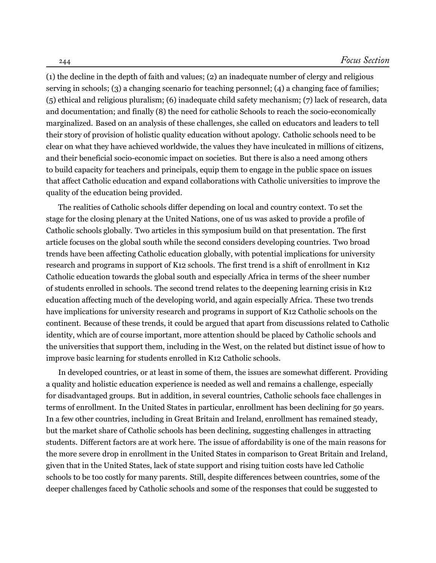(1) the decline in the depth of faith and values; (2) an inadequate number of clergy and religious serving in schools; (3) a changing scenario for teaching personnel; (4) a changing face of families; (5) ethical and religious pluralism; (6) inadequate child safety mechanism; (7) lack of research, data and documentation; and finally (8) the need for catholic Schools to reach the socio-economically marginalized. Based on an analysis of these challenges, she called on educators and leaders to tell their story of provision of holistic quality education without apology. Catholic schools need to be clear on what they have achieved worldwide, the values they have inculcated in millions of citizens, and their beneficial socio-economic impact on societies. But there is also a need among others to build capacity for teachers and principals, equip them to engage in the public space on issues that affect Catholic education and expand collaborations with Catholic universities to improve the quality of the education being provided.

The realities of Catholic schools differ depending on local and country context. To set the stage for the closing plenary at the United Nations, one of us was asked to provide a profile of Catholic schools globally. Two articles in this symposium build on that presentation. The first article focuses on the global south while the second considers developing countries. Two broad trends have been affecting Catholic education globally, with potential implications for university research and programs in support of K12 schools. The first trend is a shift of enrollment in K12 Catholic education towards the global south and especially Africa in terms of the sheer number of students enrolled in schools. The second trend relates to the deepening learning crisis in K12 education affecting much of the developing world, and again especially Africa. These two trends have implications for university research and programs in support of K12 Catholic schools on the continent. Because of these trends, it could be argued that apart from discussions related to Catholic identity, which are of course important, more attention should be placed by Catholic schools and the universities that support them, including in the West, on the related but distinct issue of how to improve basic learning for students enrolled in K12 Catholic schools.

In developed countries, or at least in some of them, the issues are somewhat different. Providing a quality and holistic education experience is needed as well and remains a challenge, especially for disadvantaged groups. But in addition, in several countries, Catholic schools face challenges in terms of enrollment. In the United States in particular, enrollment has been declining for 50 years. In a few other countries, including in Great Britain and Ireland, enrollment has remained steady, but the market share of Catholic schools has been declining, suggesting challenges in attracting students. Different factors are at work here. The issue of affordability is one of the main reasons for the more severe drop in enrollment in the United States in comparison to Great Britain and Ireland, given that in the United States, lack of state support and rising tuition costs have led Catholic schools to be too costly for many parents. Still, despite differences between countries, some of the deeper challenges faced by Catholic schools and some of the responses that could be suggested to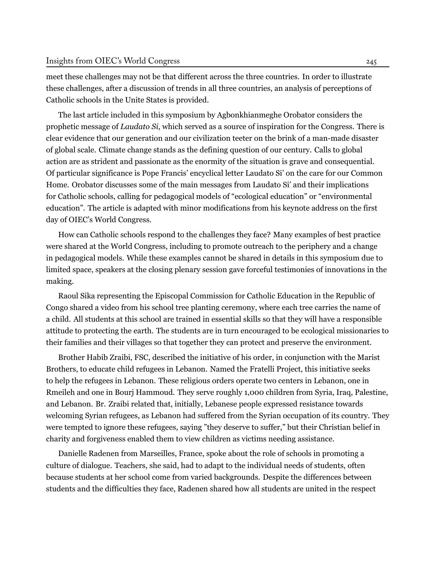meet these challenges may not be that different across the three countries. In order to illustrate these challenges, after a discussion of trends in all three countries, an analysis of perceptions of Catholic schools in the Unite States is provided.

The last article included in this symposium by Agbonkhianmeghe Orobator considers the prophetic message of *Laudato Si*, which served as a source of inspiration for the Congress. There is clear evidence that our generation and our civilization teeter on the brink of a man-made disaster of global scale. Climate change stands as the defining question of our century. Calls to global action are as strident and passionate as the enormity of the situation is grave and consequential. Of particular significance is Pope Francis' encyclical letter Laudato Si' on the care for our Common Home. Orobator discusses some of the main messages from Laudato Si' and their implications for Catholic schools, calling for pedagogical models of "ecological education" or "environmental education". The article is adapted with minor modifications from his keynote address on the first day of OIEC's World Congress.

How can Catholic schools respond to the challenges they face? Many examples of best practice were shared at the World Congress, including to promote outreach to the periphery and a change in pedagogical models. While these examples cannot be shared in details in this symposium due to limited space, speakers at the closing plenary session gave forceful testimonies of innovations in the making.

Raoul Sika representing the Episcopal Commission for Catholic Education in the Republic of Congo shared a video from his school tree planting ceremony, where each tree carries the name of a child. All students at this school are trained in essential skills so that they will have a responsible attitude to protecting the earth. The students are in turn encouraged to be ecological missionaries to their families and their villages so that together they can protect and preserve the environment.

Brother Habib Zraibi, FSC, described the initiative of his order, in conjunction with the Marist Brothers, to educate child refugees in Lebanon. Named the Fratelli Project, this initiative seeks to help the refugees in Lebanon. These religious orders operate two centers in Lebanon, one in Rmeileh and one in Bourj Hammoud. They serve roughly 1,000 children from Syria, Iraq, Palestine, and Lebanon. Br. Zraibi related that, initially, Lebanese people expressed resistance towards welcoming Syrian refugees, as Lebanon had suffered from the Syrian occupation of its country. They were tempted to ignore these refugees, saying "they deserve to suffer," but their Christian belief in charity and forgiveness enabled them to view children as victims needing assistance.

Danielle Radenen from Marseilles, France, spoke about the role of schools in promoting a culture of dialogue. Teachers, she said, had to adapt to the individual needs of students, often because students at her school come from varied backgrounds. Despite the differences between students and the difficulties they face, Radenen shared how all students are united in the respect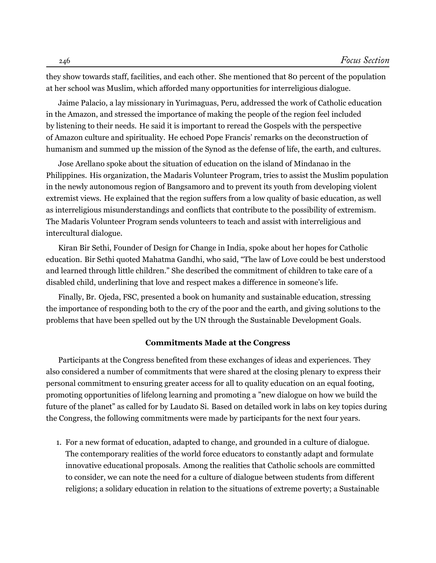they show towards staff, facilities, and each other. She mentioned that 80 percent of the population at her school was Muslim, which afforded many opportunities for interreligious dialogue.

Jaime Palacio, a lay missionary in Yurimaguas, Peru, addressed the work of Catholic education in the Amazon, and stressed the importance of making the people of the region feel included by listening to their needs. He said it is important to reread the Gospels with the perspective of Amazon culture and spirituality. He echoed Pope Francis' remarks on the deconstruction of humanism and summed up the mission of the Synod as the defense of life, the earth, and cultures.

Jose Arellano spoke about the situation of education on the island of Mindanao in the Philippines. His organization, the Madaris Volunteer Program, tries to assist the Muslim population in the newly autonomous region of Bangsamoro and to prevent its youth from developing violent extremist views. He explained that the region suffers from a low quality of basic education, as well as interreligious misunderstandings and conflicts that contribute to the possibility of extremism. The Madaris Volunteer Program sends volunteers to teach and assist with interreligious and intercultural dialogue.

Kiran Bir Sethi, Founder of Design for Change in India, spoke about her hopes for Catholic education. Bir Sethi quoted Mahatma Gandhi, who said, "The law of Love could be best understood and learned through little children." She described the commitment of children to take care of a disabled child, underlining that love and respect makes a difference in someone's life.

Finally, Br. Ojeda, FSC, presented a book on humanity and sustainable education, stressing the importance of responding both to the cry of the poor and the earth, and giving solutions to the problems that have been spelled out by the UN through the Sustainable Development Goals.

#### **Commitments Made at the Congress**

Participants at the Congress benefited from these exchanges of ideas and experiences. They also considered a number of commitments that were shared at the closing plenary to express their personal commitment to ensuring greater access for all to quality education on an equal footing, promoting opportunities of lifelong learning and promoting a "new dialogue on how we build the future of the planet" as called for by Laudato Si. Based on detailed work in labs on key topics during the Congress, the following commitments were made by participants for the next four years.

1. For a new format of education, adapted to change, and grounded in a culture of dialogue. The contemporary realities of the world force educators to constantly adapt and formulate innovative educational proposals. Among the realities that Catholic schools are committed to consider, we can note the need for a culture of dialogue between students from different religions; a solidary education in relation to the situations of extreme poverty; a Sustainable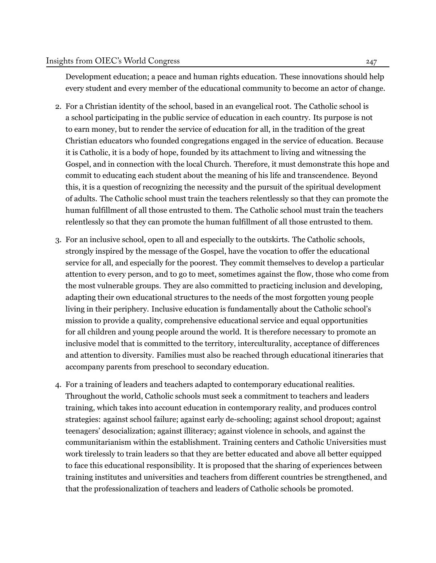Development education; a peace and human rights education. These innovations should help every student and every member of the educational community to become an actor of change.

- 2. For a Christian identity of the school, based in an evangelical root. The Catholic school is a school participating in the public service of education in each country. Its purpose is not to earn money, but to render the service of education for all, in the tradition of the great Christian educators who founded congregations engaged in the service of education. Because it is Catholic, it is a body of hope, founded by its attachment to living and witnessing the Gospel, and in connection with the local Church. Therefore, it must demonstrate this hope and commit to educating each student about the meaning of his life and transcendence. Beyond this, it is a question of recognizing the necessity and the pursuit of the spiritual development of adults. The Catholic school must train the teachers relentlessly so that they can promote the human fulfillment of all those entrusted to them. The Catholic school must train the teachers relentlessly so that they can promote the human fulfillment of all those entrusted to them.
- 3. For an inclusive school, open to all and especially to the outskirts. The Catholic schools, strongly inspired by the message of the Gospel, have the vocation to offer the educational service for all, and especially for the poorest. They commit themselves to develop a particular attention to every person, and to go to meet, sometimes against the flow, those who come from the most vulnerable groups. They are also committed to practicing inclusion and developing, adapting their own educational structures to the needs of the most forgotten young people living in their periphery. Inclusive education is fundamentally about the Catholic school's mission to provide a quality, comprehensive educational service and equal opportunities for all children and young people around the world. It is therefore necessary to promote an inclusive model that is committed to the territory, interculturality, acceptance of differences and attention to diversity. Families must also be reached through educational itineraries that accompany parents from preschool to secondary education.
- 4. For a training of leaders and teachers adapted to contemporary educational realities. Throughout the world, Catholic schools must seek a commitment to teachers and leaders training, which takes into account education in contemporary reality, and produces control strategies: against school failure; against early de-schooling; against school dropout; against teenagers' desocialization; against illiteracy; against violence in schools, and against the communitarianism within the establishment. Training centers and Catholic Universities must work tirelessly to train leaders so that they are better educated and above all better equipped to face this educational responsibility. It is proposed that the sharing of experiences between training institutes and universities and teachers from different countries be strengthened, and that the professionalization of teachers and leaders of Catholic schools be promoted.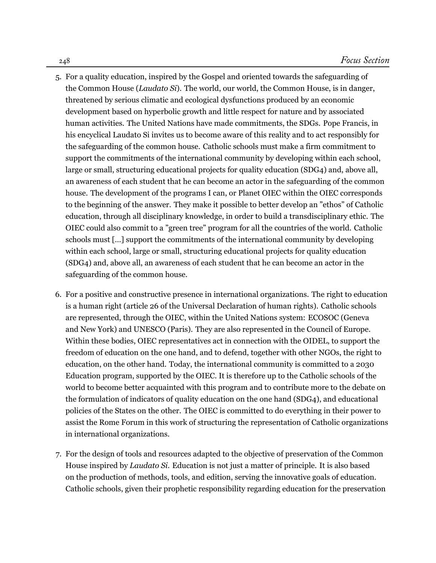- 5. For a quality education, inspired by the Gospel and oriented towards the safeguarding of the Common House (*Laudato Si*). The world, our world, the Common House, is in danger, threatened by serious climatic and ecological dysfunctions produced by an economic development based on hyperbolic growth and little respect for nature and by associated human activities. The United Nations have made commitments, the SDGs. Pope Francis, in his encyclical Laudato Si invites us to become aware of this reality and to act responsibly for the safeguarding of the common house. Catholic schools must make a firm commitment to support the commitments of the international community by developing within each school, large or small, structuring educational projects for quality education (SDG4) and, above all, an awareness of each student that he can become an actor in the safeguarding of the common house. The development of the programs I can, or Planet OIEC within the OIEC corresponds to the beginning of the answer. They make it possible to better develop an "ethos" of Catholic education, through all disciplinary knowledge, in order to build a transdisciplinary ethic. The OIEC could also commit to a "green tree" program for all the countries of the world. Catholic schools must […] support the commitments of the international community by developing within each school, large or small, structuring educational projects for quality education (SDG4) and, above all, an awareness of each student that he can become an actor in the safeguarding of the common house.
- 6. For a positive and constructive presence in international organizations. The right to education is a human right (article 26 of the Universal Declaration of human rights). Catholic schools are represented, through the OIEC, within the United Nations system: ECOSOC (Geneva and New York) and UNESCO (Paris). They are also represented in the Council of Europe. Within these bodies, OIEC representatives act in connection with the OIDEL, to support the freedom of education on the one hand, and to defend, together with other NGOs, the right to education, on the other hand. Today, the international community is committed to a 2030 Education program, supported by the OIEC. It is therefore up to the Catholic schools of the world to become better acquainted with this program and to contribute more to the debate on the formulation of indicators of quality education on the one hand (SDG4), and educational policies of the States on the other. The OIEC is committed to do everything in their power to assist the Rome Forum in this work of structuring the representation of Catholic organizations in international organizations.
- 7. For the design of tools and resources adapted to the objective of preservation of the Common House inspired by *Laudato Si*. Education is not just a matter of principle. It is also based on the production of methods, tools, and edition, serving the innovative goals of education. Catholic schools, given their prophetic responsibility regarding education for the preservation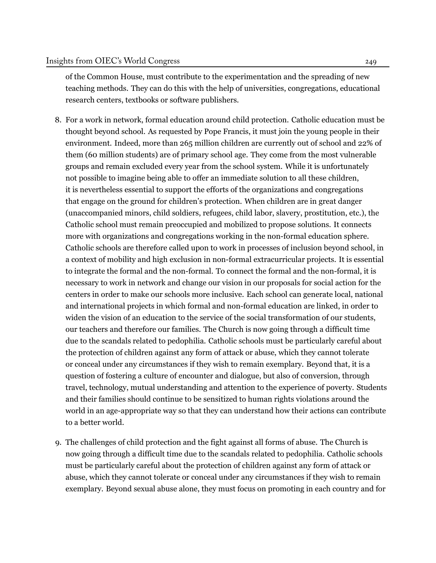of the Common House, must contribute to the experimentation and the spreading of new teaching methods. They can do this with the help of universities, congregations, educational research centers, textbooks or software publishers.

- 8. For a work in network, formal education around child protection. Catholic education must be thought beyond school. As requested by Pope Francis, it must join the young people in their environment. Indeed, more than 265 million children are currently out of school and 22% of them (60 million students) are of primary school age. They come from the most vulnerable groups and remain excluded every year from the school system. While it is unfortunately not possible to imagine being able to offer an immediate solution to all these children, it is nevertheless essential to support the efforts of the organizations and congregations that engage on the ground for children's protection. When children are in great danger (unaccompanied minors, child soldiers, refugees, child labor, slavery, prostitution, etc.), the Catholic school must remain preoccupied and mobilized to propose solutions. It connects more with organizations and congregations working in the non-formal education sphere. Catholic schools are therefore called upon to work in processes of inclusion beyond school, in a context of mobility and high exclusion in non-formal extracurricular projects. It is essential to integrate the formal and the non-formal. To connect the formal and the non-formal, it is necessary to work in network and change our vision in our proposals for social action for the centers in order to make our schools more inclusive. Each school can generate local, national and international projects in which formal and non-formal education are linked, in order to widen the vision of an education to the service of the social transformation of our students, our teachers and therefore our families. The Church is now going through a difficult time due to the scandals related to pedophilia. Catholic schools must be particularly careful about the protection of children against any form of attack or abuse, which they cannot tolerate or conceal under any circumstances if they wish to remain exemplary. Beyond that, it is a question of fostering a culture of encounter and dialogue, but also of conversion, through travel, technology, mutual understanding and attention to the experience of poverty. Students and their families should continue to be sensitized to human rights violations around the world in an age-appropriate way so that they can understand how their actions can contribute to a better world.
- 9. The challenges of child protection and the fight against all forms of abuse. The Church is now going through a difficult time due to the scandals related to pedophilia. Catholic schools must be particularly careful about the protection of children against any form of attack or abuse, which they cannot tolerate or conceal under any circumstances if they wish to remain exemplary. Beyond sexual abuse alone, they must focus on promoting in each country and for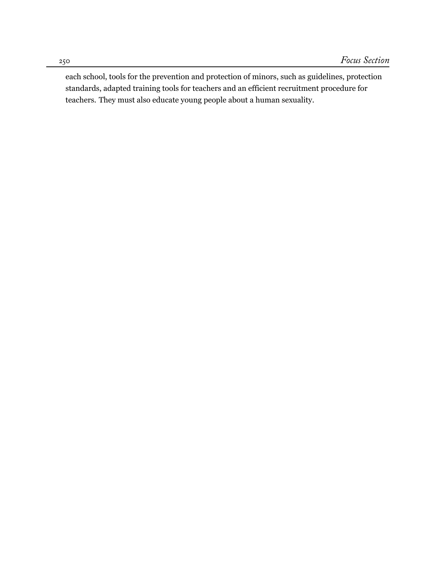each school, tools for the prevention and protection of minors, such as guidelines, protection standards, adapted training tools for teachers and an efficient recruitment procedure for teachers. They must also educate young people about a human sexuality.